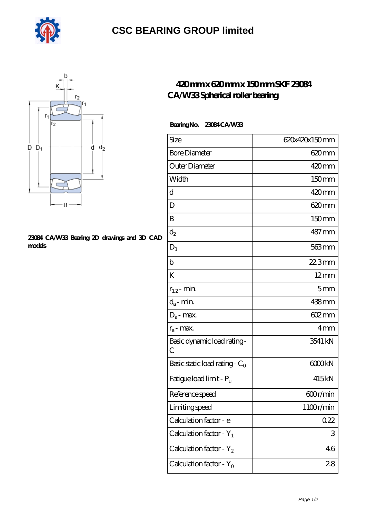

# **[CSC BEARING GROUP limited](https://m.augustinusga.com)**



### **[23084 CA/W33 Bearing 2D drawings and 3D CAD](https://m.augustinusga.com/pic-65110454.html) [models](https://m.augustinusga.com/pic-65110454.html)**

### **[420 mm x 620 mm x 150 mm SKF 23084](https://m.augustinusga.com/skf-23084-ca-w33-bearing/) [CA/W33 Spherical roller bearing](https://m.augustinusga.com/skf-23084-ca-w33-bearing/)**

#### **Bearing No. 23084 CA/W33**

| Size                                | 620x420x150mm     |
|-------------------------------------|-------------------|
| <b>Bore Diameter</b>                | 620mm             |
| Outer Diameter                      | 420mm             |
| Width                               | 150mm             |
| d                                   | 420mm             |
| D                                   | 620mm             |
| B                                   | 150mm             |
| $\mathrm{d}_2$                      | 487 <sub>mm</sub> |
| $D_1$                               | 563mm             |
| $\mathbf b$                         | 22.3mm            |
| K                                   | $12 \text{mm}$    |
| $r_{1,2}$ - min.                    | 5 <sub>mm</sub>   |
| $d_a$ - min.                        | 438mm             |
| $D_a$ - max.                        | 602mm             |
| $r_a$ - max.                        | 4mm               |
| Basic dynamic load rating-<br>С     | 3541 kN           |
| Basic static load rating - $C_0$    | 6000kN            |
| Fatigue load limit - P <sub>u</sub> | 415kN             |
| Reference speed                     | 600r/min          |
| Limiting speed                      | 1100r/min         |
| Calculation factor - e              | 0.22              |
| Calculation factor - $Y_1$          | 3                 |
| Calculation factor - $Y_2$          | 46                |
| Calculation factor - $Y_0$          | 28                |